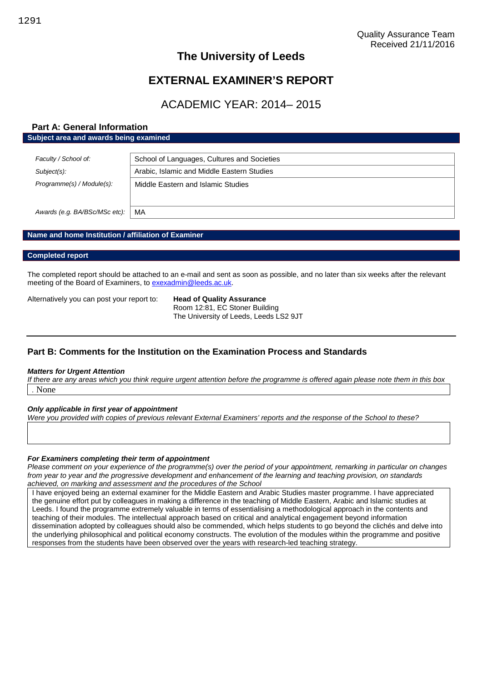# **The University of Leeds**

# **EXTERNAL EXAMINER'S REPORT**

# ACADEMIC YEAR: 2014– 2015

# **Part A: General Information Subject area and awards being examined**

| Faculty / School of:          | School of Languages, Cultures and Societies |
|-------------------------------|---------------------------------------------|
| Subject(s):                   | Arabic, Islamic and Middle Eastern Studies  |
| Programme(s) / Module(s):     | Middle Eastern and Islamic Studies          |
| Awards (e.g. BA/BSc/MSc etc): | MA                                          |

# **Name and home Institution / affiliation of Examiner**

## **Completed report**

The completed report should be attached to an e-mail and sent as soon as possible, and no later than six weeks after the relevant meeting of the Board of Examiners, to [exexadmin@leeds.ac.uk.](mailto:exexadmin@leeds.ac.uk)

Alternatively you can post your report to: **Head of Quality Assurance**

Room 12:81, EC Stoner Building The University of Leeds, Leeds LS2 9JT

# **Part B: Comments for the Institution on the Examination Process and Standards**

#### *Matters for Urgent Attention*

*If there are any areas which you think require urgent attention before the programme is offered again please note them in this box .* None

# *Only applicable in first year of appointment*

*Were you provided with copies of previous relevant External Examiners' reports and the response of the School to these?*

# *For Examiners completing their term of appointment*

*Please comment on your experience of the programme(s) over the period of your appointment, remarking in particular on changes from year to year and the progressive development and enhancement of the learning and teaching provision, on standards achieved, on marking and assessment and the procedures of the School*

I have enjoyed being an external examiner for the Middle Eastern and Arabic Studies master programme. I have appreciated the genuine effort put by colleagues in making a difference in the teaching of Middle Eastern, Arabic and Islamic studies at Leeds. I found the programme extremely valuable in terms of essentialising a methodological approach in the contents and teaching of their modules. The intellectual approach based on critical and analytical engagement beyond information dissemination adopted by colleagues should also be commended, which helps students to go beyond the clichés and delve into the underlying philosophical and political economy constructs. The evolution of the modules within the programme and positive responses from the students have been observed over the years with research-led teaching strategy.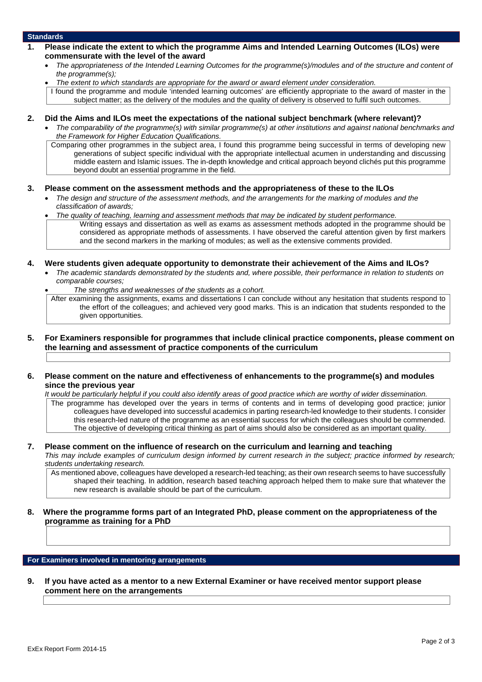## **Standards**

- **1. Please indicate the extent to which the programme Aims and Intended Learning Outcomes (ILOs) were commensurate with the level of the award**
	- *The appropriateness of the Intended Learning Outcomes for the programme(s)/modules and of the structure and content of the programme(s);*
	- *The extent to which standards are appropriate for the award or award element under consideration.*

I found the programme and module 'intended learning outcomes' are efficiently appropriate to the award of master in the subject matter; as the delivery of the modules and the quality of delivery is observed to fulfil such outcomes.

- **2. Did the Aims and ILOs meet the expectations of the national subject benchmark (where relevant)?**
	- *The comparability of the programme(s) with similar programme(s) at other institutions and against national benchmarks and the Framework for Higher Education Qualifications.*

Comparing other programmes in the subject area, I found this programme being successful in terms of developing new generations of subject specific individual with the appropriate intellectual acumen in understanding and discussing middle eastern and Islamic issues. The in-depth knowledge and critical approach beyond clichés put this programme beyond doubt an essential programme in the field.

- **3. Please comment on the assessment methods and the appropriateness of these to the ILOs**
	- *The design and structure of the assessment methods, and the arrangements for the marking of modules and the classification of awards;*

*The quality of teaching, learning and assessment methods that may be indicated by student performance.*

Writing essays and dissertation as well as exams as assessment methods adopted in the programme should be considered as appropriate methods of assessments. I have observed the careful attention given by first markers and the second markers in the marking of modules; as well as the extensive comments provided.

#### **4. Were students given adequate opportunity to demonstrate their achievement of the Aims and ILOs?**

- *The academic standards demonstrated by the students and, where possible, their performance in relation to students on comparable courses;*
	- *The strengths and weaknesses of the students as a cohort.*

After examining the assignments, exams and dissertations I can conclude without any hesitation that students respond to the effort of the colleagues; and achieved very good marks. This is an indication that students responded to the given opportunities.

- **5. For Examiners responsible for programmes that include clinical practice components, please comment on the learning and assessment of practice components of the curriculum**
- **6. Please comment on the nature and effectiveness of enhancements to the programme(s) and modules since the previous year**

*It would be particularly helpful if you could also identify areas of good practice which are worthy of wider dissemination.*

The programme has developed over the years in terms of contents and in terms of developing good practice; junior colleagues have developed into successful academics in parting research-led knowledge to their students. I consider this research-led nature of the programme as an essential success for which the colleagues should be commended. The objective of developing critical thinking as part of aims should also be considered as an important quality.

#### **7. Please comment on the influence of research on the curriculum and learning and teaching** *This may include examples of curriculum design informed by current research in the subject; practice informed by research;*

*students undertaking research.* As mentioned above, colleagues have developed a research-led teaching; as their own research seems to have successfully

shaped their teaching. In addition, research based teaching approach helped them to make sure that whatever the new research is available should be part of the curriculum.

**8. Where the programme forms part of an Integrated PhD, please comment on the appropriateness of the programme as training for a PhD**

## **For Examiners involved in mentoring arrangements**

**9. If you have acted as a mentor to a new External Examiner or have received mentor support please comment here on the arrangements**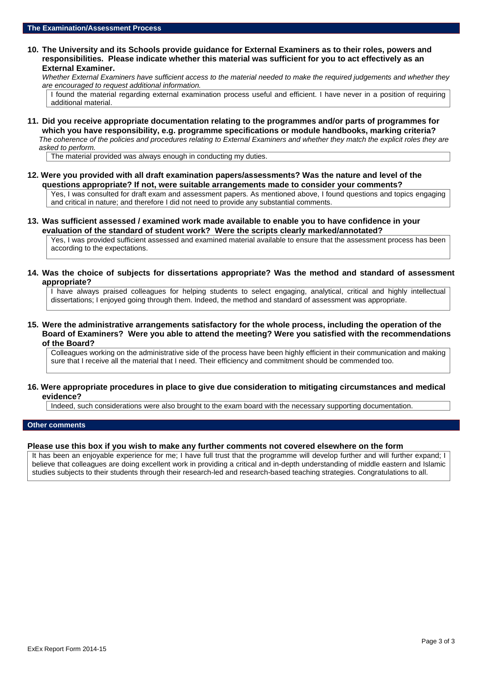**10. The University and its Schools provide guidance for External Examiners as to their roles, powers and responsibilities. Please indicate whether this material was sufficient for you to act effectively as an External Examiner.**

*Whether External Examiners have sufficient access to the material needed to make the required judgements and whether they are encouraged to request additional information.*

I found the material regarding external examination process useful and efficient. I have never in a position of requiring additional material.

**11. Did you receive appropriate documentation relating to the programmes and/or parts of programmes for which you have responsibility, e.g. programme specifications or module handbooks, marking criteria?** *The coherence of the policies and procedures relating to External Examiners and whether they match the explicit roles they are asked to perform.*

The material provided was always enough in conducting my duties.

**12. Were you provided with all draft examination papers/assessments? Was the nature and level of the questions appropriate? If not, were suitable arrangements made to consider your comments?**

Yes, I was consulted for draft exam and assessment papers. As mentioned above, I found questions and topics engaging and critical in nature; and therefore I did not need to provide any substantial comments.

**13. Was sufficient assessed / examined work made available to enable you to have confidence in your evaluation of the standard of student work? Were the scripts clearly marked/annotated?**

Yes, I was provided sufficient assessed and examined material available to ensure that the assessment process has been according to the expectations.

**14. Was the choice of subjects for dissertations appropriate? Was the method and standard of assessment appropriate?**

I have always praised colleagues for helping students to select engaging, analytical, critical and highly intellectual dissertations; I enjoyed going through them. Indeed, the method and standard of assessment was appropriate.

**15. Were the administrative arrangements satisfactory for the whole process, including the operation of the Board of Examiners? Were you able to attend the meeting? Were you satisfied with the recommendations of the Board?**

Colleagues working on the administrative side of the process have been highly efficient in their communication and making sure that I receive all the material that I need. Their efficiency and commitment should be commended too.

## **16. Were appropriate procedures in place to give due consideration to mitigating circumstances and medical evidence?**

Indeed, such considerations were also brought to the exam board with the necessary supporting documentation.

#### **Other comments**

#### **Please use this box if you wish to make any further comments not covered elsewhere on the form**

It has been an enjoyable experience for me; I have full trust that the programme will develop further and will further expand; I believe that colleagues are doing excellent work in providing a critical and in-depth understanding of middle eastern and Islamic studies subjects to their students through their research-led and research-based teaching strategies. Congratulations to all.